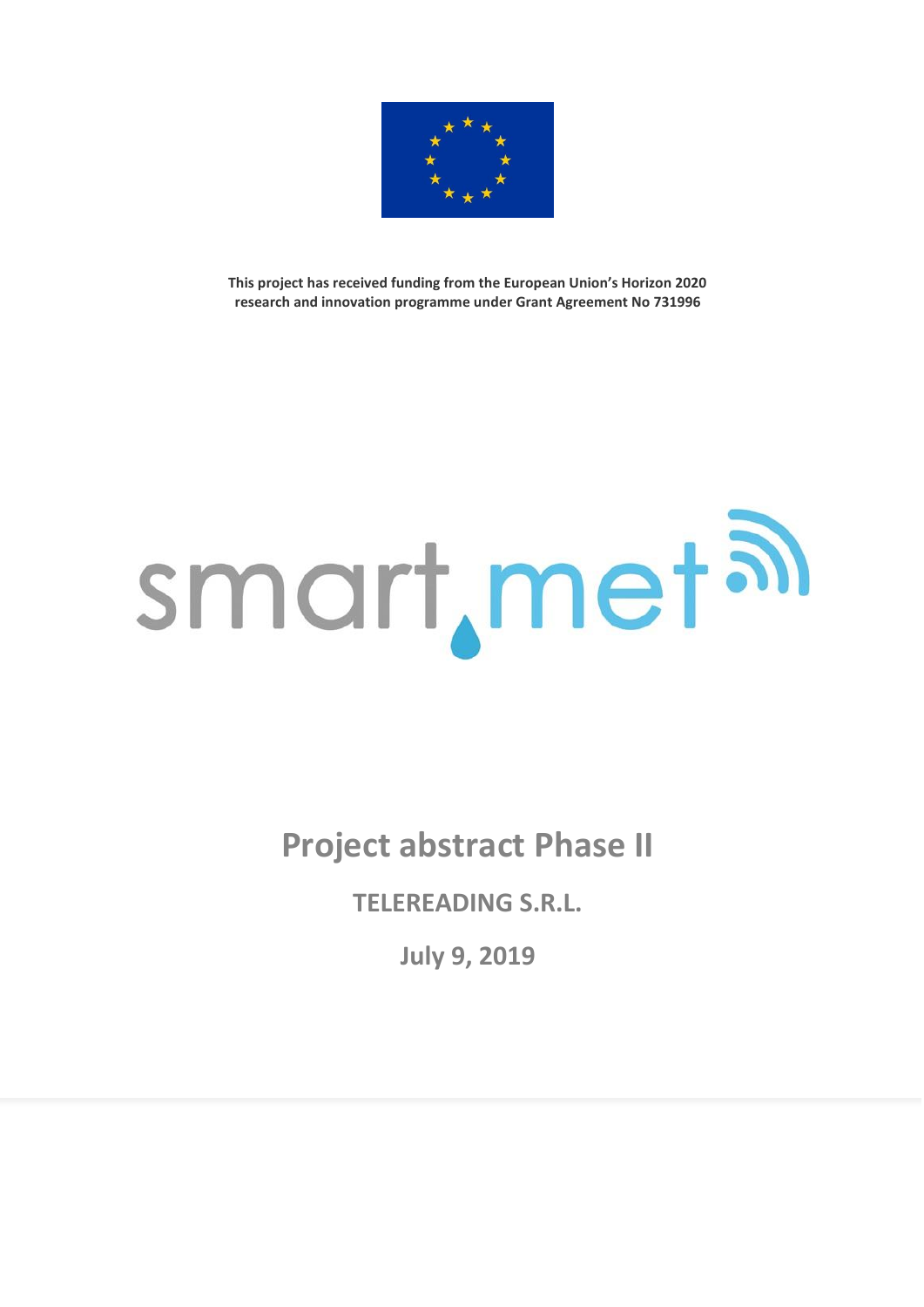

**This project has received funding from the European Union's Horizon 2020 research and innovation programme under Grant Agreement No 731996**

## smart, met al

**Project abstract Phase II**

**TELEREADING S.R.L.**

**July 9, 2019**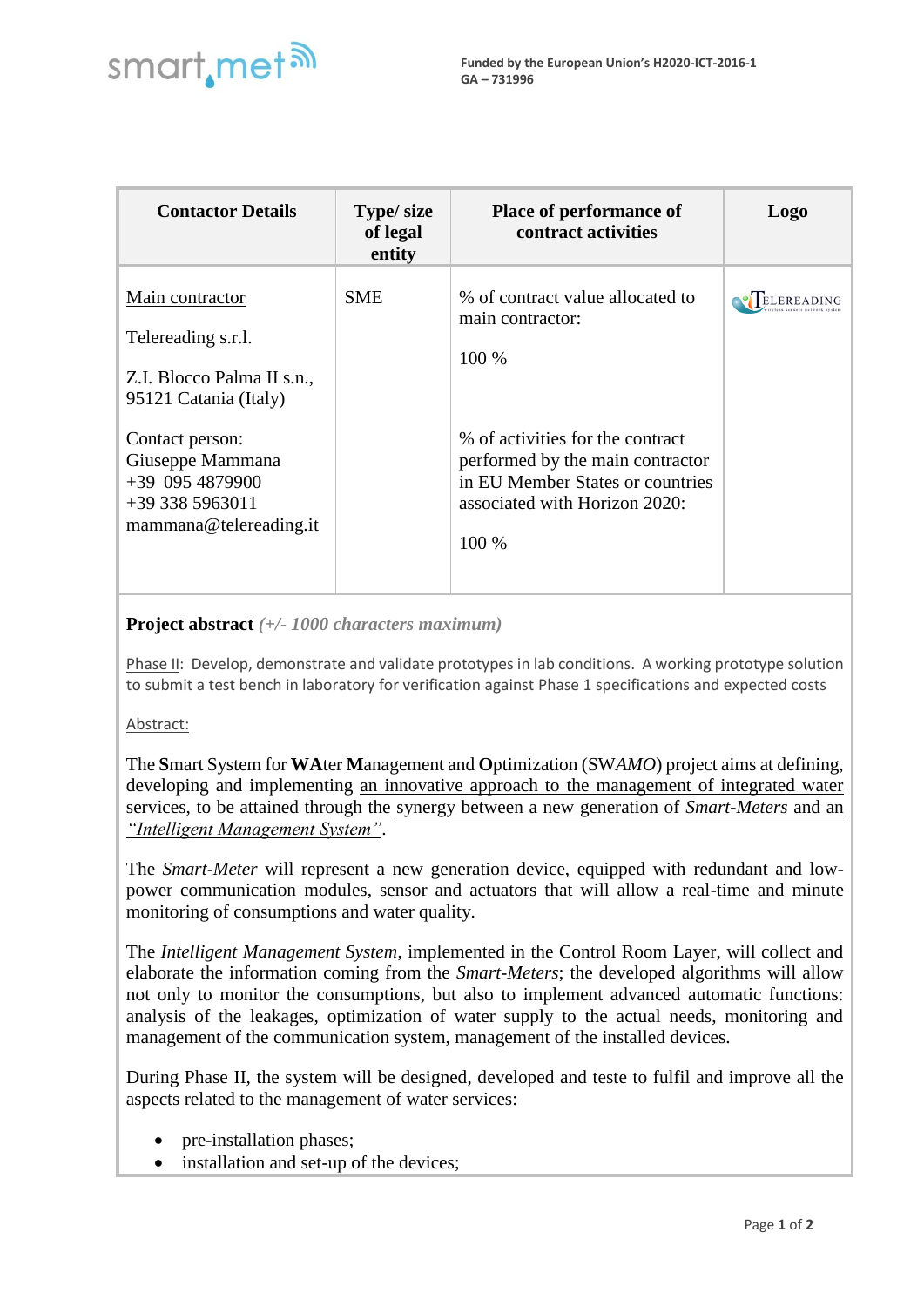

| <b>Contactor Details</b>                                                                                                                                                                              | Type/ size<br>of legal<br>entity | <b>Place of performance of</b><br>contract activities                                                                                                                                                               | Logo |
|-------------------------------------------------------------------------------------------------------------------------------------------------------------------------------------------------------|----------------------------------|---------------------------------------------------------------------------------------------------------------------------------------------------------------------------------------------------------------------|------|
| Main contractor<br>Telereading s.r.l.<br>Z.I. Blocco Palma II s.n.,<br>95121 Catania (Italy)<br>Contact person:<br>Giuseppe Mammana<br>$+39$ 095 4879900<br>$+393385963011$<br>mammana@telereading.it | <b>SME</b>                       | % of contract value allocated to<br>main contractor:<br>100 %<br>% of activities for the contract<br>performed by the main contractor<br>in EU Member States or countries<br>associated with Horizon 2020:<br>100 % |      |

## **Project abstract** *(+/- 1000 characters maximum)*

Phase II: Develop, demonstrate and validate prototypes in lab conditions. A working prototype solution to submit a test bench in laboratory for verification against Phase 1 specifications and expected costs

## Abstract:

The **S**mart System for **WA**ter **M**anagement and **O**ptimization (SW*AMO*) project aims at defining, developing and implementing an innovative approach to the management of integrated water services, to be attained through the synergy between a new generation of *Smart-Meters* and an *"Intelligent Management System"*.

The *Smart-Meter* will represent a new generation device, equipped with redundant and lowpower communication modules, sensor and actuators that will allow a real-time and minute monitoring of consumptions and water quality.

The *Intelligent Management System*, implemented in the Control Room Layer, will collect and elaborate the information coming from the *Smart-Meters*; the developed algorithms will allow not only to monitor the consumptions, but also to implement advanced automatic functions: analysis of the leakages, optimization of water supply to the actual needs, monitoring and management of the communication system, management of the installed devices.

During Phase II, the system will be designed, developed and teste to fulfil and improve all the aspects related to the management of water services:

- pre-installation phases;
- installation and set-up of the devices;